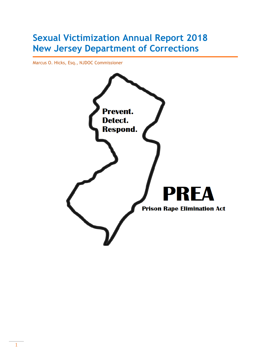# **Sexual Victimization Annual Report 2018 New Jersey Department of Corrections**

Marcus O. Hicks, Esq., NJDOC Commissioner

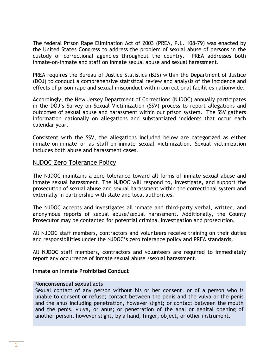The federal Prison Rape Elimination Act of 2003 (PREA, P.L. 108-79) was enacted by the United States Congress to address the problem of sexual abuse of persons in the custody of correctional agencies throughout the country. PREA addresses both inmate-on-inmate and staff on inmate sexual abuse and sexual harassment.

PREA requires the Bureau of Justice Statistics (BJS) within the Department of Justice (DOJ) to conduct a comprehensive statistical review and analysis of the incidence and effects of prison rape and sexual misconduct within correctional facilities nationwide.

Accordingly, the New Jersey Department of Corrections (NJDOC) annually participates in the DOJ's Survey on Sexual Victimization (SSV) process to report allegations and outcomes of sexual abuse and harassment within our prison system. The SSV gathers information nationally on allegations and substantiated incidents that occur each calendar year.

Consistent with the SSV, the allegations included below are categorized as either inmate-on-inmate or as staff-on-inmate sexual victimization. Sexual victimization includes both abuse and harassment cases.

### NJDOC Zero Tolerance Policy

The NJDOC maintains a zero tolerance toward all forms of inmate sexual abuse and inmate sexual harassment. The NJDOC will respond to, investigate, and support the prosecution of sexual abuse and sexual harassment within the correctional system and externally in partnership with state and local authorities.

The NJDOC accepts and investigates all inmate and third-party verbal, written, and anonymous reports of sexual abuse/sexual harassment. Additionally, the County Prosecutor may be contacted for potential criminal investigation and prosecution.

All NJDOC staff members, contractors and volunteers receive training on their duties and responsibilities under the NJDOC's zero tolerance policy and PREA standards.

All NJDOC staff members, contractors and volunteers are required to immediately report any occurrence of inmate sexual abuse /sexual harassment.

#### **Inmate on Inmate Prohibited Conduct**

#### **Nonconsensual sexual acts**

Sexual contact of any person without his or her consent, or of a person who is unable to consent or refuse; contact between the penis and the vulva or the penis and the anus including penetration, however slight; or contact between the mouth and the penis, vulva, or anus; or penetration of the anal or genital opening of another person, however slight, by a hand, finger, object, or other instrument.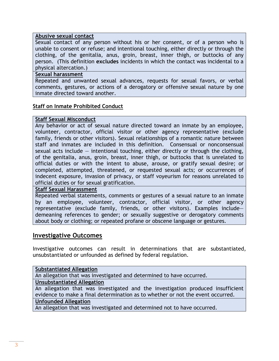#### **Abusive sexual contact**

Sexual contact of any person without his or her consent, or of a person who is unable to consent or refuse; and intentional touching, either directly or through the clothing, of the genitalia, anus, groin, breast, inner thigh, or buttocks of any person. (This definition **excludes** incidents in which the contact was incidental to a physical altercation.)

#### **Sexual harassment**

Repeated and unwanted sexual advances, requests for sexual favors, or verbal comments, gestures, or actions of a derogatory or offensive sexual nature by one inmate directed toward another.

#### **Staff on Inmate Prohibited Conduct**

#### **Staff Sexual Misconduct**

Any behavior or act of sexual nature directed toward an inmate by an employee, volunteer, contractor, official visitor or other agency representative (exclude family, friends or other visitors). Sexual relationships of a romantic nature between staff and inmates are included in this definition. Consensual or nonconsensual sexual acts include  $-$  intentional touching, either directly or through the clothing, of the genitalia, anus, groin, breast, inner thigh, or buttocks that is unrelated to official duties or with the intent to abuse, arouse, or gratify sexual desire; or completed, attempted, threatened, or requested sexual acts; or occurrences of indecent exposure, invasion of privacy, or staff voyeurism for reasons unrelated to official duties or for sexual gratification.

#### **Staff Sexual Harassment**

Repeated verbal statements, comments or gestures of a sexual nature to an inmate by an employee, volunteer, contractor, official visitor, or other agency representative (exclude family, friends, or other visitors). Examples include demeaning references to gender; or sexually suggestive or derogatory comments about body or clothing; or repeated profane or obscene language or gestures.

#### **Investigative Outcomes**

Investigative outcomes can result in determinations that are substantiated, unsubstantiated or unfounded as defined by federal regulation.

#### **Substantiated Allegation**

An allegation that was investigated and determined to have occurred.

#### **Unsubstantiated Allegation**

An allegation that was investigated and the investigation produced insufficient evidence to make a final determination as to whether or not the event occurred.

#### **Unfounded Allegation**

An allegation that was investigated and determined not to have occurred.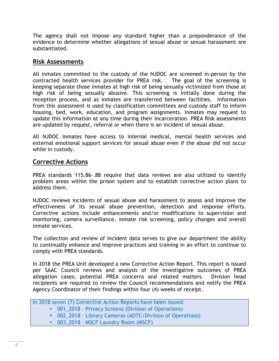The agency shall not impose any standard higher than a preponderance of the evidence to determine whether allegations of sexual abuse or sexual harassment are substantiated.

### **Risk Assessments**

All inmates committed to the custody of the NJDOC are screened in-person by the contracted health services provider for PREA risk. The goal of the screening is keeping separate those inmates at high risk of being sexually victimized from those at high risk of being sexually abusive. This screening is initially done during the reception process, and as inmates are transferred between facilities. Information from this assessment is used by classification committees and custody staff to inform housing, bed, work, education, and program assignments. Inmates may request to update this information at any time during their incarceration. PREA Risk assessments are updated by request, referral or when there is an incident of sexual abuse.

All NJDOC inmates have access to internal medical, mental health services and external emotional support services for sexual abuse even if the abuse did not occur while in custody.

### **Corrective Actions**

PREA standards 115.86-.88 require that data reviews are also utilized to identify problem areas within the prison system and to establish corrective action plans to address them.

NJDOC reviews incidents of sexual abuse and harassment to assess and improve the effectiveness of its sexual abuse prevention, detection and response efforts. Corrective actions include enhancements and/or modifications to supervision and monitoring, camera surveillance, inmate risk screening, policy changes and overall inmate services.

The collection and review of incident data serves to give our department the ability to continually enhance and improve practices and training in an effort to continue to comply with PREA standards.

In 2018 the PREA Unit developed a new Corrective Action Report. This report is issued per SAAC Council reviews and analysis of the investigative outcomes of PREA allegation cases, potential PREA concerns and related matters. Division head recipients are required to review the Council recommendations and notify the PREA Agency Coordinator of their findings within four (4) weeks of receipt.

In 2018 seven (7) Corrective Action Reports have been issued:

- 001 2018 Privacy Screens (Division of Operations)
	- 002\_2018 Library Cameras (ADTC/Division of Operations)
	- 003\_2018 MSCF Laundry Room (MSCF)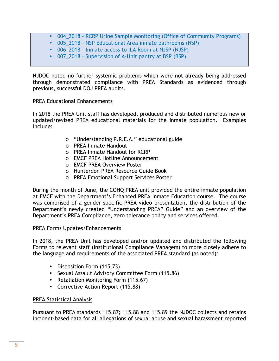- 004\_2018 RCRP Urine Sample Monitoring (Office of Community Programs)
- 005\_2018 NSP Educational Area inmate bathrooms (NSP)
- 006 2018 Inmate access to ILA Room at NJSP (NJSP)
- 007\_2018 Supervision of A-Unit pantry at BSP (BSP)

NJDOC noted no further systemic problems which were not already being addressed through demonstrated compliance with PREA Standards as evidenced through previous, successful DOJ PREA audits.

#### PREA Educational Enhancements

In 2018 the PREA Unit staff has developed, produced and distributed numerous new or updated/revised PREA educational materials for the inmate population. Examples include:

- o "Understanding P.R.E.A." educational guide
- o PREA Inmate Handout
- o PREA Inmate Handout for RCRP
- o EMCF PREA Hotline Announcement
- o EMCF PREA Overview Poster
- o Hunterdon PREA Resource Guide Book
- o PREA Emotional Support Services Poster

During the month of June, the COHQ PREA unit provided the entire inmate population at EMCF with the Department's Enhanced PREA Inmate Education course. The course was comprised of a gender specific PREA video presentation, the distribution of the Department's newly created "Understanding PREA" Guide" and an overview of the Department's PREA Compliance, zero tolerance policy and services offered.

#### PREA Forms Updates/Enhancements

In 2018, the PREA Unit has developed and/or updated and distributed the following Forms to relevant staff (Institutional Compliance Managers) to more closely adhere to the language and requirements of the associated PREA standard (as noted):

- Disposition Form (115.73)
- Sexual Assault Advisory Committee Form (115.86)
- Retaliation Monitoring Form (115.67)
- Corrective Action Report (115.88)

#### PREA Statistical Analysis

Pursuant to PREA standards 115.87; 115.88 and 115.89 the NJDOC collects and retains incident-based data for all allegations of sexual abuse and sexual harassment reported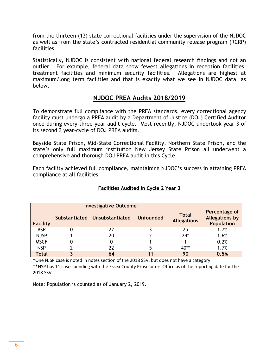from the thirteen (13) state correctional facilities under the supervision of the NJDOC as well as from the state's contracted residential community release program (RCRP) facilities.

Statistically, NJDOC is consistent with national federal research findings and not an outlier. For example, federal data show fewest allegations in reception facilities, treatment facilities and minimum security facilities. Allegations are highest at maximum/long term facilities and that is exactly what we see in NJDOC data, as below.

# **NJDOC PREA Audits 2018/2019**

To demonstrate full compliance with the PREA standards, every correctional agency facility must undergo a PREA audit by a Department of Justice (DOJ) Certified Auditor once during every three-year audit cycle. Most recently, NJDOC undertook year 3 of its second 3 year-cycle of DOJ PREA audits.

Bayside State Prison, Mid-State Correctional Facility, Northern State Prison, and the state's only full maximum institution New Jersey State Prison all underwent a comprehensive and thorough DOJ PREA audit in this Cycle.

Each facility achieved full compliance, maintaining NJDOC's success in attaining PREA compliance at all facilities.

|                 | <b>Investigative Outcome</b>    |                  |                                    |                                                             |
|-----------------|---------------------------------|------------------|------------------------------------|-------------------------------------------------------------|
| <b>Facility</b> | Substantiated   Unsubstantiated | <b>Unfounded</b> | <b>Total</b><br><b>Allegations</b> | Percentage of<br><b>Allegations by</b><br><b>Population</b> |
| <b>BSP</b>      | 22                              |                  | 25                                 | 1.7%                                                        |
| <b>NJSP</b>     | 20                              |                  | $24*$                              | 1.6%                                                        |
| <b>MSCF</b>     |                                 |                  |                                    | 0.2%                                                        |
| <b>NSP</b>      | 22                              |                  | 40**                               | 1.7%                                                        |
| <b>Total</b>    | 64                              |                  | 90                                 | 0.5%                                                        |

#### **Facilities Audited in Cycle 2 Year 3**

\*One NJSP case is noted in notes section of the 2018 SSV, but does not have a category

\*\*NSP has 11 cases pending with the Essex County Prosecutors Office as of the reporting date for the 2018 SSV

Note: Population is counted as of January 2, 2019.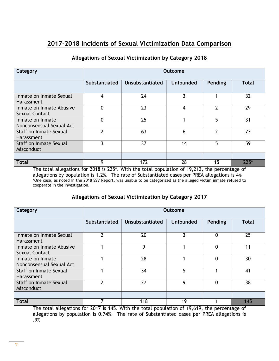# **2017-2018 Incidents of Sexual Victimization Data Comparison**

#### **Allegations of Sexual Victimization by Category 2018**

| Category                                          | Outcome              |                 |                  |         |        |  |
|---------------------------------------------------|----------------------|-----------------|------------------|---------|--------|--|
|                                                   | <b>Substantiated</b> | Unsubstantiated | <b>Unfounded</b> | Pending | Total  |  |
| Inmate on Inmate Sexual<br>Harassment             | 4                    | 24              | 3                |         | 32     |  |
| Inmate on Inmate Abusive<br><b>Sexual Contact</b> | 0                    | 23              | 4                | າ       | 29     |  |
| Inmate on Inmate<br>Nonconsensual Sexual Act      | $\mathbf 0$          | 25              |                  | 5       | 31     |  |
| Staff on Inmate Sexual<br>Harassment              | າ                    | 63              | 6                | າ       | 73     |  |
| <b>Staff on Inmate Sexual</b><br>Misconduct       | ζ                    | 37              | 14               | 5       | 59     |  |
| <b>Total</b>                                      | 9                    | 172             | 28               | 15      | $225*$ |  |

The total allegations for 2018 is 225\*. With the total population of 19,212, the percentage of allegations by population is 1.2%. The rate of Substantiated cases per PREA allegations is 4% \*One case, as noted in the 2018 SSV Report, was unable to be categorized as the alleged victim inmate refused to cooperate in the investigation.

#### **Allegations of Sexual Victimization by Category 2017**

| Category                                          | <b>Outcome</b>       |                 |                  |         |              |  |
|---------------------------------------------------|----------------------|-----------------|------------------|---------|--------------|--|
|                                                   | <b>Substantiated</b> | Unsubstantiated | <b>Unfounded</b> | Pending | <b>Total</b> |  |
| Inmate on Inmate Sexual<br>Harassment             | 2                    | 20              | 3                | 0       | 25           |  |
| Inmate on Inmate Abusive<br><b>Sexual Contact</b> |                      | 9               |                  | 0       | 11           |  |
| Inmate on Inmate<br>Nonconsensual Sexual Act      |                      | 28              |                  | 0       | 30           |  |
| Staff on Inmate Sexual<br>Harassment              |                      | 34              | 5                |         | 41           |  |
| <b>Staff on Inmate Sexual</b><br>Misconduct       | າ                    | 27              | 9                | 0       | 38           |  |
|                                                   |                      |                 |                  |         |              |  |
| <b>Total</b>                                      |                      | 118             | 19               |         | 145          |  |

The total allegations for 2017 is 145. With the total population of 19,619, the percentage of allegations by population is 0.74%. The rate of Substantiated cases per PREA allegations is .9%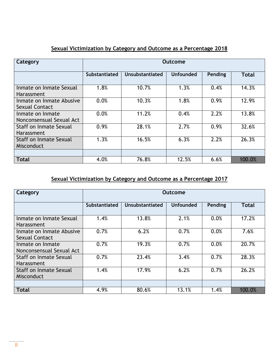| Category                                     | Outcome       |                        |                  |         |        |  |
|----------------------------------------------|---------------|------------------------|------------------|---------|--------|--|
|                                              | Substantiated | <b>Unsubstantiated</b> | <b>Unfounded</b> | Pending | Total  |  |
| Inmate on Inmate Sexual<br><b>Harassment</b> | 1.8%          | 10.7%                  | 1.3%             | 0.4%    | 14.3%  |  |
| Inmate on Inmate Abusive<br>Sexual Contact   | 0.0%          | 10.3%                  | 1.8%             | 0.9%    | 12.9%  |  |
| Inmate on Inmate<br>Nonconsensual Sexual Act | 0.0%          | 11.2%                  | 0.4%             | 2.2%    | 13.8%  |  |
| <b>Staff on Inmate Sexual</b><br>Harassment  | 0.9%          | 28.1%                  | 2.7%             | 0.9%    | 32.6%  |  |
| <b>Staff on Inmate Sexual</b><br>Misconduct  | 1.3%          | 16.5%                  | 6.3%             | 2.2%    | 26.3%  |  |
|                                              |               |                        |                  |         |        |  |
| <b>Total</b>                                 | 4.0%          | 76.8%                  | 12.5%            | 6.6%    | 100.0% |  |

# **Sexual Victimization by Category and Outcome as a Percentage 2018**

# **Sexual Victimization by Category and Outcome as a Percentage 2017**

| Category                                     | <b>Outcome</b> |                        |                  |         |              |  |
|----------------------------------------------|----------------|------------------------|------------------|---------|--------------|--|
|                                              | Substantiated  | <b>Unsubstantiated</b> | <b>Unfounded</b> | Pending | <b>Total</b> |  |
| Inmate on Inmate Sexual<br>Harassment.       | 1.4%           | 13.8%                  | 2.1%             | 0.0%    | 17.2%        |  |
| Inmate on Inmate Abusive<br>Sexual Contact   | 0.7%           | 6.2%                   | 0.7%             | 0.0%    | 7.6%         |  |
| Inmate on Inmate<br>Nonconsensual Sexual Act | 0.7%           | 19.3%                  | 0.7%             | 0.0%    | 20.7%        |  |
| Staff on Inmate Sexual<br><b>Harassment</b>  | 0.7%           | 23.4%                  | 3.4%             | 0.7%    | 28.3%        |  |
| <b>Staff on Inmate Sexual</b><br>Misconduct  | 1.4%           | 17.9%                  | 6.2%             | 0.7%    | 26.2%        |  |
| <b>Total</b>                                 | 4.9%           | 80.6%                  | 13.1%            | 1.4%    | 100.0%       |  |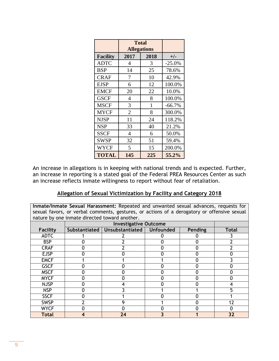|                 | <b>Total</b><br><b>Allegations</b> |              |          |
|-----------------|------------------------------------|--------------|----------|
| <b>Facility</b> | 2017                               | 2018         | $+/-$    |
| <b>ADTC</b>     | 4                                  | 3            | $-25.0%$ |
| <b>BSP</b>      | 14                                 | 25           | 78.6%    |
| <b>CRAF</b>     | 7                                  | 10           | 42.9%    |
| <b>EJSP</b>     | 6                                  | 12           | 100.0%   |
| <b>EMCF</b>     | 20                                 | 22           | 10.0%    |
| <b>GSCF</b>     | 4                                  | 8            | 100.0%   |
| <b>MSCF</b>     | 3                                  | $\mathbf{1}$ | $-66.7%$ |
| <b>MYCF</b>     | $\overline{2}$                     | 8            | 300.0%   |
| <b>NJSP</b>     | 11                                 | 24           | 118.2%   |
| <b>NSP</b>      | 33                                 | 40           | 21.2%    |
| <b>SSCF</b>     | 4                                  | 6            | 50.0%    |
| <b>SWSP</b>     | 32                                 | 51           | 59.4%    |
| <b>WYCF</b>     | 5                                  | 15           | 200.0%   |
| <b>TOTAL</b>    | 145                                | 225          | 55.2%    |

An increase in allegations is in keeping with national trends and is expected. Further, an increase in reporting is a stated goal of the Federal PREA Resources Center as such an increase reflects inmate willingness to report without fear of retaliation.

#### **Allegation of Sexual Victimization by Facility and Category 2018**

**Inmate/Inmate Sexual Harassment:** Repeated and unwanted sexual advances, requests for sexual favors, or verbal comments, gestures, or actions of a derogatory or offensive sexual nature by one inmate directed toward another.

|                 |               | <b>Investigative Outcome</b> |  |         |              |  |  |
|-----------------|---------------|------------------------------|--|---------|--------------|--|--|
| <b>Facility</b> | Substantiated | Unsubstantiated   Unfounded  |  | Pending | <b>Total</b> |  |  |
| <b>ADTC</b>     |               |                              |  |         |              |  |  |
| <b>BSP</b>      |               |                              |  |         |              |  |  |
| <b>CRAF</b>     |               |                              |  |         |              |  |  |
| <b>EJSP</b>     | 0             |                              |  |         |              |  |  |
| <b>EMCF</b>     |               |                              |  |         |              |  |  |
| <b>GSCF</b>     |               |                              |  |         |              |  |  |
| <b>MSCF</b>     | 0             |                              |  |         |              |  |  |
| <b>MYCF</b>     | ი             |                              |  |         |              |  |  |
| <b>NJSP</b>     |               |                              |  |         |              |  |  |
| <b>NSP</b>      |               |                              |  |         |              |  |  |
| <b>SSCF</b>     |               |                              |  |         |              |  |  |
| <b>SWSP</b>     |               | ົດ                           |  |         | 12           |  |  |
| <b>WYCF</b>     |               |                              |  |         |              |  |  |
| <b>Total</b>    | 4             | 24                           |  |         | 32           |  |  |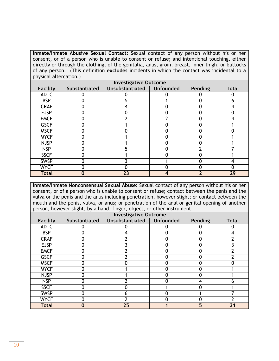**Inmate/Inmate Abusive Sexual Contact:** Sexual contact of any person without his or her consent, or of a person who is unable to consent or refuse; and intentional touching, either directly or through the clothing, of the genitalia, anus, groin, breast, inner thigh, or buttocks of any person. (This definition **excludes** incidents in which the contact was incidental to a physical altercation.)

| <b>Facility</b> | Substantiated | <b>Unsubstantiated</b> | <b>Unfounded</b> | <b>Pending</b> | <b>Total</b> |
|-----------------|---------------|------------------------|------------------|----------------|--------------|
| <b>ADTC</b>     |               |                        |                  |                |              |
| <b>BSP</b>      |               |                        |                  |                |              |
| <b>CRAF</b>     |               |                        |                  |                |              |
| <b>EJSP</b>     |               |                        |                  |                |              |
| <b>EMCF</b>     |               |                        |                  |                |              |
| <b>GSCF</b>     |               |                        |                  |                |              |
| <b>MSCF</b>     |               |                        |                  |                |              |
| <b>MYCF</b>     |               |                        |                  |                |              |
| <b>NJSP</b>     |               |                        |                  | $\Omega$       |              |
| <b>NSP</b>      |               |                        |                  |                |              |
| <b>SSCF</b>     |               |                        |                  |                |              |
| <b>SWSP</b>     |               |                        |                  | ŋ              |              |
| <b>WYCF</b>     |               |                        |                  |                |              |
| <b>Total</b>    |               | 23                     |                  |                | 29           |

**Inmate/Inmate Nonconsensual Sexual Abuse:** Sexual contact of any person without his or her consent, or of a person who is unable to consent or refuse; contact between the penis and the vulva or the penis and the anus including penetration, however slight; or contact between the mouth and the penis, vulva, or anus; or penetration of the anal or genital opening of another person, however slight, by a hand, finger, object, or other instrument.

| . .             | <u>.</u>      | <b>Investigative Outcome</b> |           |                |              |  |  |
|-----------------|---------------|------------------------------|-----------|----------------|--------------|--|--|
| <b>Facility</b> | Substantiated | Unsubstantiated              | Unfounded | <b>Pending</b> | <b>Total</b> |  |  |
| <b>ADTC</b>     |               |                              |           |                |              |  |  |
| <b>BSP</b>      |               |                              | 0         |                |              |  |  |
| <b>CRAF</b>     |               |                              |           |                |              |  |  |
| <b>EJSP</b>     |               |                              |           |                |              |  |  |
| <b>EMCF</b>     |               |                              |           |                |              |  |  |
| <b>GSCF</b>     |               |                              |           |                |              |  |  |
| <b>MSCF</b>     |               |                              |           |                |              |  |  |
| <b>MYCF</b>     |               |                              | O         |                |              |  |  |
| <b>NJSP</b>     |               |                              |           |                |              |  |  |
| <b>NSP</b>      |               |                              |           |                |              |  |  |
| <b>SSCF</b>     |               |                              |           |                |              |  |  |
| <b>SWSP</b>     |               |                              |           |                |              |  |  |
| <b>WYCF</b>     |               |                              |           |                |              |  |  |
| <b>Total</b>    |               | 25                           |           |                | 31           |  |  |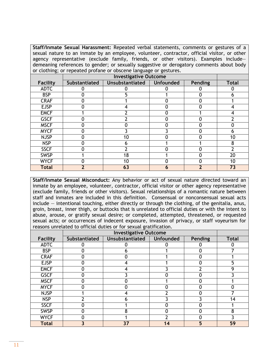**Staff/Inmate Sexual Harassment:** Repeated verbal statements, comments or gestures of a sexual nature to an inmate by an employee, volunteer, contractor, official visitor, or other agency representative (exclude family, friends, or other visitors). Examples include demeaning references to gender; or sexually suggestive or derogatory comments about body or clothing; or repeated profane or obscene language or gestures.

| <b>Facility</b> | Substantiated | <b>Unsubstantiated</b> | <b>Unfounded</b> | <b>Pending</b> | <b>Total</b> |
|-----------------|---------------|------------------------|------------------|----------------|--------------|
| <b>ADTC</b>     |               |                        |                  |                |              |
| <b>BSP</b>      |               |                        |                  |                | n            |
| <b>CRAF</b>     |               |                        |                  |                |              |
| <b>EJSP</b>     |               |                        |                  |                |              |
| <b>EMCF</b>     |               |                        | 0                |                |              |
| <b>GSCF</b>     |               |                        |                  |                |              |
| <b>MSCF</b>     |               |                        |                  |                |              |
| <b>MYCF</b>     | O             |                        |                  |                | n            |
| <b>NJSP</b>     |               | 10                     |                  |                | 10           |
| <b>NSP</b>      |               | n                      |                  |                | 8            |
| <b>SSCF</b>     |               |                        |                  |                |              |
| <b>SWSP</b>     |               | 18                     |                  | ⋂              | 20           |
| <b>WYCF</b>     |               | 10                     |                  |                | 10           |
| <b>Total</b>    |               | 63                     | n                |                | 73           |

**Staff/Inmate Sexual Misconduct:** Any behavior or act of sexual nature directed toward an inmate by an employee, volunteer, contractor, official visitor or other agency representative (exclude family, friends or other visitors). Sexual relationships of a romantic nature between staff and inmates are included in this definition. Consensual or nonconsensual sexual acts include — intentional touching, either directly or through the clothing, of the genitalia, anus, groin, breast, inner thigh, or buttocks that is unrelated to official duties or with the intent to abuse, arouse, or gratify sexual desire; or completed, attempted, threatened, or requested sexual acts; or occurrences of indecent exposure, invasion of privacy, or staff voyeurism for reasons unrelated to official duties or for sexual gratification.

| Facility     | <b>Substantiated</b> | Unsubstantiated | <b>Unfounded</b> | <b>Pending</b> | <b>Total</b> |
|--------------|----------------------|-----------------|------------------|----------------|--------------|
| <b>ADTC</b>  |                      |                 |                  |                |              |
| <b>BSP</b>   |                      | n               |                  |                |              |
| <b>CRAF</b>  |                      |                 |                  | Ω              |              |
| <b>EJSP</b>  |                      |                 |                  |                |              |
| <b>EMCF</b>  |                      |                 |                  |                |              |
| <b>GSCF</b>  |                      |                 |                  |                |              |
| <b>MSCF</b>  |                      |                 |                  |                |              |
| <b>MYCF</b>  |                      |                 |                  |                |              |
| <b>NJSP</b>  |                      |                 |                  |                |              |
| <b>NSP</b>   |                      | h               |                  |                | 14           |
| <b>SSCF</b>  |                      |                 |                  |                |              |
| <b>SWSP</b>  |                      | 8               |                  |                |              |
| <b>WYCF</b>  |                      |                 |                  |                |              |
| <b>Total</b> |                      | 37              |                  |                | 59           |